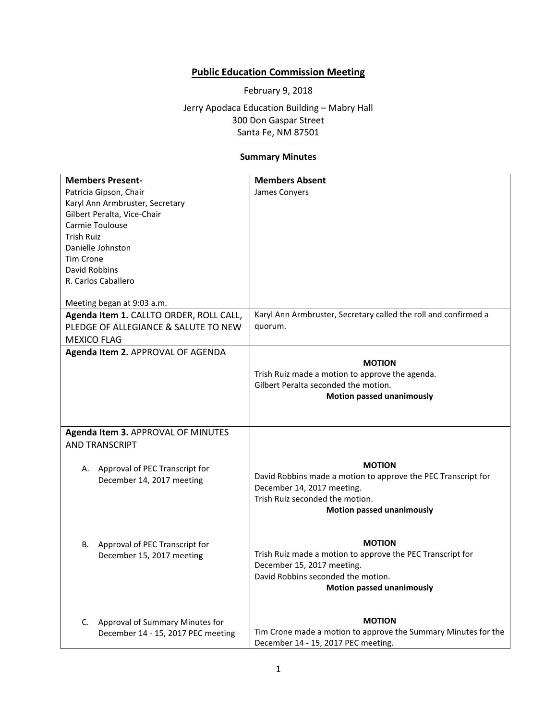## **Public Education Commission Meeting**

February 9, 2018

Jerry Apodaca Education Building – Mabry Hall 300 Don Gaspar Street Santa Fe, NM 87501

## **Summary Minutes**

|                    | <b>Members Present-</b>                 | <b>Members Absent</b>                                           |
|--------------------|-----------------------------------------|-----------------------------------------------------------------|
|                    | Patricia Gipson, Chair                  | James Conyers                                                   |
|                    | Karyl Ann Armbruster, Secretary         |                                                                 |
|                    | Gilbert Peralta, Vice-Chair             |                                                                 |
|                    | Carmie Toulouse                         |                                                                 |
| <b>Trish Ruiz</b>  |                                         |                                                                 |
|                    | Danielle Johnston                       |                                                                 |
| Tim Crone          |                                         |                                                                 |
| David Robbins      |                                         |                                                                 |
|                    | R. Carlos Caballero                     |                                                                 |
|                    |                                         |                                                                 |
|                    | Meeting began at 9:03 a.m.              |                                                                 |
|                    | Agenda Item 1. CALLTO ORDER, ROLL CALL, | Karyl Ann Armbruster, Secretary called the roll and confirmed a |
|                    | PLEDGE OF ALLEGIANCE & SALUTE TO NEW    | quorum.                                                         |
| <b>MEXICO FLAG</b> |                                         |                                                                 |
|                    |                                         |                                                                 |
|                    | Agenda Item 2. APPROVAL OF AGENDA       | <b>MOTION</b>                                                   |
|                    |                                         |                                                                 |
|                    |                                         | Trish Ruiz made a motion to approve the agenda.                 |
|                    |                                         | Gilbert Peralta seconded the motion.                            |
|                    |                                         | <b>Motion passed unanimously</b>                                |
|                    |                                         |                                                                 |
|                    |                                         |                                                                 |
|                    | Agenda Item 3. APPROVAL OF MINUTES      |                                                                 |
|                    | <b>AND TRANSCRIPT</b>                   |                                                                 |
|                    |                                         |                                                                 |
|                    | A. Approval of PEC Transcript for       | <b>MOTION</b>                                                   |
|                    | December 14, 2017 meeting               | David Robbins made a motion to approve the PEC Transcript for   |
|                    |                                         | December 14, 2017 meeting.                                      |
|                    |                                         | Trish Ruiz seconded the motion.                                 |
|                    |                                         | <b>Motion passed unanimously</b>                                |
|                    |                                         |                                                                 |
|                    |                                         |                                                                 |
| В.                 | Approval of PEC Transcript for          | <b>MOTION</b>                                                   |
|                    | December 15, 2017 meeting               | Trish Ruiz made a motion to approve the PEC Transcript for      |
|                    |                                         | December 15, 2017 meeting.                                      |
|                    |                                         | David Robbins seconded the motion.                              |
|                    |                                         | <b>Motion passed unanimously</b>                                |
|                    |                                         |                                                                 |
|                    |                                         | <b>MOTION</b>                                                   |
| C.                 | Approval of Summary Minutes for         | Tim Crone made a motion to approve the Summary Minutes for the  |
|                    | December 14 - 15, 2017 PEC meeting      |                                                                 |
|                    |                                         | December 14 - 15, 2017 PEC meeting.                             |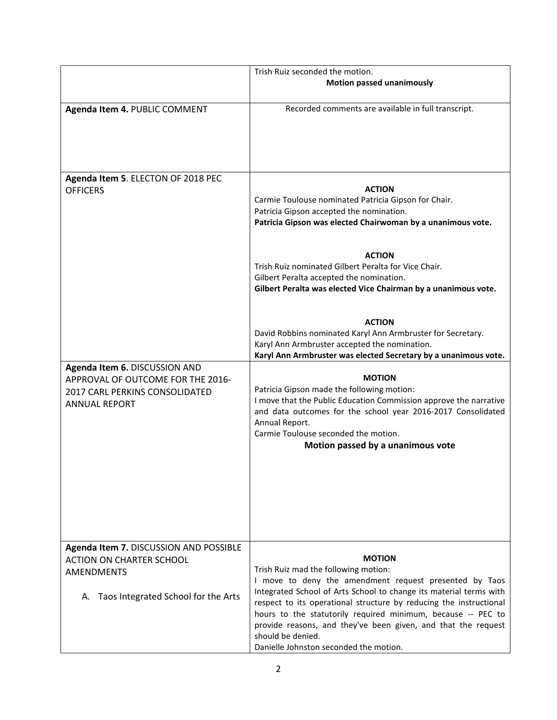|                                                                                                                              | Trish Ruiz seconded the motion.<br><b>Motion passed unanimously</b>                                                                                                                                                                                                                                                                      |
|------------------------------------------------------------------------------------------------------------------------------|------------------------------------------------------------------------------------------------------------------------------------------------------------------------------------------------------------------------------------------------------------------------------------------------------------------------------------------|
| Agenda Item 4. PUBLIC COMMENT                                                                                                | Recorded comments are available in full transcript.                                                                                                                                                                                                                                                                                      |
| Agenda Item 5. ELECTON OF 2018 PEC<br><b>OFFICERS</b>                                                                        | <b>ACTION</b><br>Carmie Toulouse nominated Patricia Gipson for Chair.<br>Patricia Gipson accepted the nomination.<br>Patricia Gipson was elected Chairwoman by a unanimous vote.                                                                                                                                                         |
|                                                                                                                              | <b>ACTION</b><br>Trish Ruiz nominated Gilbert Peralta for Vice Chair.<br>Gilbert Peralta accepted the nomination.<br>Gilbert Peralta was elected Vice Chairman by a unanimous vote.                                                                                                                                                      |
|                                                                                                                              | <b>ACTION</b><br>David Robbins nominated Karyl Ann Armbruster for Secretary.<br>Karyl Ann Armbruster accepted the nomination.<br>Karyl Ann Armbruster was elected Secretary by a unanimous vote.                                                                                                                                         |
| Agenda Item 6. DISCUSSION AND<br>APPROVAL OF OUTCOME FOR THE 2016-<br>2017 CARL PERKINS CONSOLIDATED<br><b>ANNUAL REPORT</b> | <b>MOTION</b><br>Patricia Gipson made the following motion:<br>I move that the Public Education Commission approve the narrative<br>and data outcomes for the school year 2016-2017 Consolidated<br>Annual Report.<br>Carmie Toulouse seconded the motion.<br>Motion passed by a unanimous vote                                          |
| Agenda Item 7. DISCUSSION AND POSSIBLE<br><b>ACTION ON CHARTER SCHOOL</b><br><b>AMENDMENTS</b>                               | <b>MOTION</b><br>Trish Ruiz mad the following motion:<br>I move to deny the amendment request presented by Taos                                                                                                                                                                                                                          |
| A. Taos Integrated School for the Arts                                                                                       | Integrated School of Arts School to change its material terms with<br>respect to its operational structure by reducing the instructional<br>hours to the statutorily required minimum, because -- PEC to<br>provide reasons, and they've been given, and that the request<br>should be denied.<br>Danielle Johnston seconded the motion. |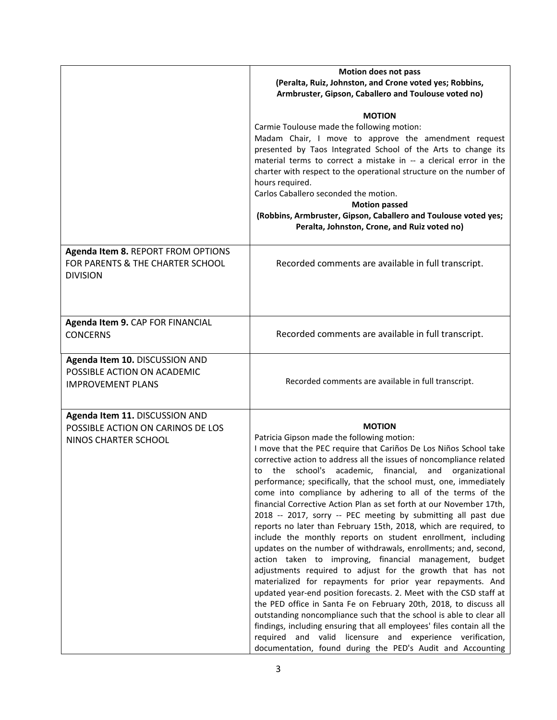|                                                                                             | <b>Motion does not pass</b><br>(Peralta, Ruiz, Johnston, and Crone voted yes; Robbins,<br>Armbruster, Gipson, Caballero and Toulouse voted no)                                                                                                                                                                                                                                                                                                                                                                                                                                                                                                                                                                                                                                                                                                                                                                                                                                                                                                                                                                                                                                                                                                                                                                                                                        |
|---------------------------------------------------------------------------------------------|-----------------------------------------------------------------------------------------------------------------------------------------------------------------------------------------------------------------------------------------------------------------------------------------------------------------------------------------------------------------------------------------------------------------------------------------------------------------------------------------------------------------------------------------------------------------------------------------------------------------------------------------------------------------------------------------------------------------------------------------------------------------------------------------------------------------------------------------------------------------------------------------------------------------------------------------------------------------------------------------------------------------------------------------------------------------------------------------------------------------------------------------------------------------------------------------------------------------------------------------------------------------------------------------------------------------------------------------------------------------------|
|                                                                                             | <b>MOTION</b><br>Carmie Toulouse made the following motion:<br>Madam Chair, I move to approve the amendment request<br>presented by Taos Integrated School of the Arts to change its<br>material terms to correct a mistake in -- a clerical error in the<br>charter with respect to the operational structure on the number of<br>hours required.<br>Carlos Caballero seconded the motion.<br><b>Motion passed</b><br>(Robbins, Armbruster, Gipson, Caballero and Toulouse voted yes;<br>Peralta, Johnston, Crone, and Ruiz voted no)                                                                                                                                                                                                                                                                                                                                                                                                                                                                                                                                                                                                                                                                                                                                                                                                                                |
| Agenda Item 8. REPORT FROM OPTIONS<br>FOR PARENTS & THE CHARTER SCHOOL<br><b>DIVISION</b>   | Recorded comments are available in full transcript.                                                                                                                                                                                                                                                                                                                                                                                                                                                                                                                                                                                                                                                                                                                                                                                                                                                                                                                                                                                                                                                                                                                                                                                                                                                                                                                   |
| Agenda Item 9. CAP FOR FINANCIAL<br><b>CONCERNS</b>                                         | Recorded comments are available in full transcript.                                                                                                                                                                                                                                                                                                                                                                                                                                                                                                                                                                                                                                                                                                                                                                                                                                                                                                                                                                                                                                                                                                                                                                                                                                                                                                                   |
| Agenda Item 10. DISCUSSION AND<br>POSSIBLE ACTION ON ACADEMIC<br><b>IMPROVEMENT PLANS</b>   | Recorded comments are available in full transcript.                                                                                                                                                                                                                                                                                                                                                                                                                                                                                                                                                                                                                                                                                                                                                                                                                                                                                                                                                                                                                                                                                                                                                                                                                                                                                                                   |
| Agenda Item 11. DISCUSSION AND<br>POSSIBLE ACTION ON CARINOS DE LOS<br>NINOS CHARTER SCHOOL | <b>MOTION</b><br>Patricia Gipson made the following motion:<br>I move that the PEC require that Cariños De Los Niños School take<br>corrective action to address all the issues of noncompliance related<br>to the school's academic, financial, and organizational<br>performance; specifically, that the school must, one, immediately<br>come into compliance by adhering to all of the terms of the<br>financial Corrective Action Plan as set forth at our November 17th,<br>2018 -- 2017, sorry -- PEC meeting by submitting all past due<br>reports no later than February 15th, 2018, which are required, to<br>include the monthly reports on student enrollment, including<br>updates on the number of withdrawals, enrollments; and, second,<br>action taken to improving, financial management, budget<br>adjustments required to adjust for the growth that has not<br>materialized for repayments for prior year repayments. And<br>updated year-end position forecasts. 2. Meet with the CSD staff at<br>the PED office in Santa Fe on February 20th, 2018, to discuss all<br>outstanding noncompliance such that the school is able to clear all<br>findings, including ensuring that all employees' files contain all the<br>required and valid licensure and experience verification,<br>documentation, found during the PED's Audit and Accounting |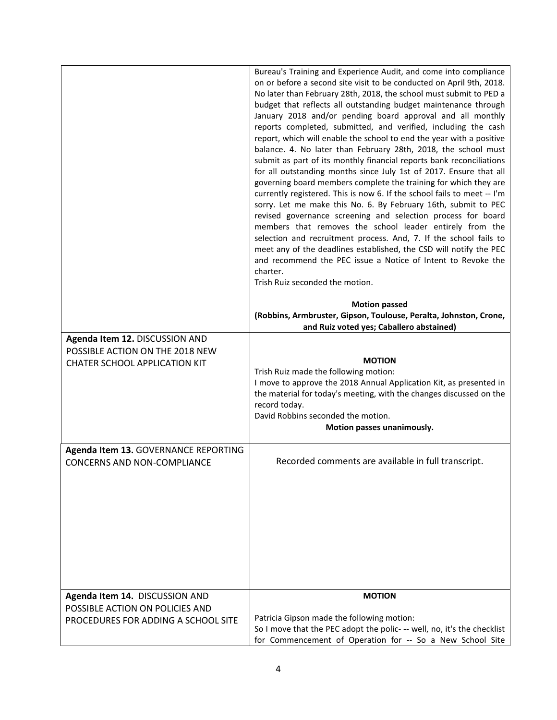|                                                                                                           | Bureau's Training and Experience Audit, and come into compliance<br>on or before a second site visit to be conducted on April 9th, 2018.<br>No later than February 28th, 2018, the school must submit to PED a<br>budget that reflects all outstanding budget maintenance through<br>January 2018 and/or pending board approval and all monthly<br>reports completed, submitted, and verified, including the cash<br>report, which will enable the school to end the year with a positive<br>balance. 4. No later than February 28th, 2018, the school must<br>submit as part of its monthly financial reports bank reconciliations<br>for all outstanding months since July 1st of 2017. Ensure that all<br>governing board members complete the training for which they are<br>currently registered. This is now 6. If the school fails to meet -- I'm<br>sorry. Let me make this No. 6. By February 16th, submit to PEC<br>revised governance screening and selection process for board<br>members that removes the school leader entirely from the<br>selection and recruitment process. And, 7. If the school fails to<br>meet any of the deadlines established, the CSD will notify the PEC<br>and recommend the PEC issue a Notice of Intent to Revoke the<br>charter.<br>Trish Ruiz seconded the motion.<br><b>Motion passed</b><br>(Robbins, Armbruster, Gipson, Toulouse, Peralta, Johnston, Crone,<br>and Ruiz voted yes; Caballero abstained) |
|-----------------------------------------------------------------------------------------------------------|-----------------------------------------------------------------------------------------------------------------------------------------------------------------------------------------------------------------------------------------------------------------------------------------------------------------------------------------------------------------------------------------------------------------------------------------------------------------------------------------------------------------------------------------------------------------------------------------------------------------------------------------------------------------------------------------------------------------------------------------------------------------------------------------------------------------------------------------------------------------------------------------------------------------------------------------------------------------------------------------------------------------------------------------------------------------------------------------------------------------------------------------------------------------------------------------------------------------------------------------------------------------------------------------------------------------------------------------------------------------------------------------------------------------------------------------------------------|
| Agenda Item 12. DISCUSSION AND<br>POSSIBLE ACTION ON THE 2018 NEW<br><b>CHATER SCHOOL APPLICATION KIT</b> | <b>MOTION</b><br>Trish Ruiz made the following motion:<br>I move to approve the 2018 Annual Application Kit, as presented in<br>the material for today's meeting, with the changes discussed on the<br>record today.<br>David Robbins seconded the motion.<br>Motion passes unanimously.                                                                                                                                                                                                                                                                                                                                                                                                                                                                                                                                                                                                                                                                                                                                                                                                                                                                                                                                                                                                                                                                                                                                                                  |
| Agenda Item 13. GOVERNANCE REPORTING<br><b>CONCERNS AND NON-COMPLIANCE</b>                                | Recorded comments are available in full transcript.                                                                                                                                                                                                                                                                                                                                                                                                                                                                                                                                                                                                                                                                                                                                                                                                                                                                                                                                                                                                                                                                                                                                                                                                                                                                                                                                                                                                       |
| Agenda Item 14. DISCUSSION AND<br>POSSIBLE ACTION ON POLICIES AND<br>PROCEDURES FOR ADDING A SCHOOL SITE  | <b>MOTION</b><br>Patricia Gipson made the following motion:<br>So I move that the PEC adopt the polic- -- well, no, it's the checklist<br>for Commencement of Operation for -- So a New School Site                                                                                                                                                                                                                                                                                                                                                                                                                                                                                                                                                                                                                                                                                                                                                                                                                                                                                                                                                                                                                                                                                                                                                                                                                                                       |